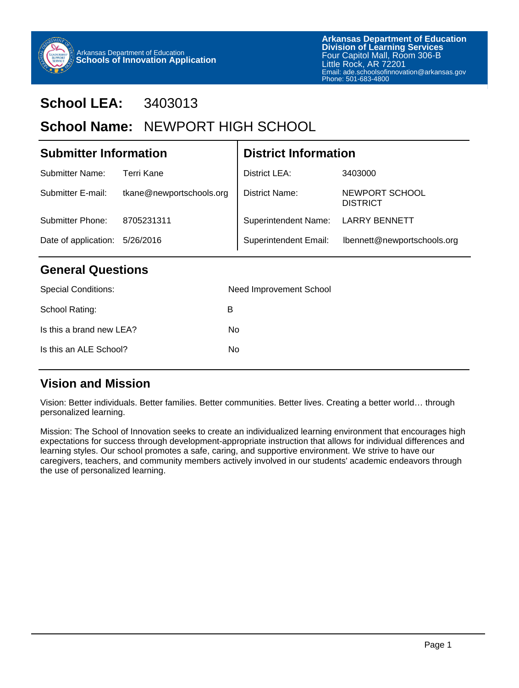

### **School LEA:** 3403013

### School Name: NEWPORT HIGH SCHOOL

| <b>Submitter Information</b> |                          | <b>District Information</b>  |                                   |  |
|------------------------------|--------------------------|------------------------------|-----------------------------------|--|
| Submitter Name:              | Terri Kane               | District LEA:                | 3403000                           |  |
| Submitter E-mail:            | tkane@newportschools.org | District Name:               | NEWPORT SCHOOL<br><b>DISTRICT</b> |  |
| Submitter Phone:             | 8705231311               | <b>Superintendent Name:</b>  | <b>LARRY BENNETT</b>              |  |
| Date of application:         | 5/26/2016                | <b>Superintendent Email:</b> | lbennett@newportschools.org       |  |

#### **General Questions**

| <b>Special Conditions:</b> | Need Improvement School |
|----------------------------|-------------------------|
| School Rating:             | в                       |
| Is this a brand new LEA?   | No.                     |
| Is this an ALE School?     | No                      |
|                            |                         |

#### **Vision and Mission**

Vision: Better individuals. Better families. Better communities. Better lives. Creating a better world… through personalized learning.

Mission: The School of Innovation seeks to create an individualized learning environment that encourages high expectations for success through development-appropriate instruction that allows for individual differences and learning styles. Our school promotes a safe, caring, and supportive environment. We strive to have our caregivers, teachers, and community members actively involved in our students' academic endeavors through the use of personalized learning.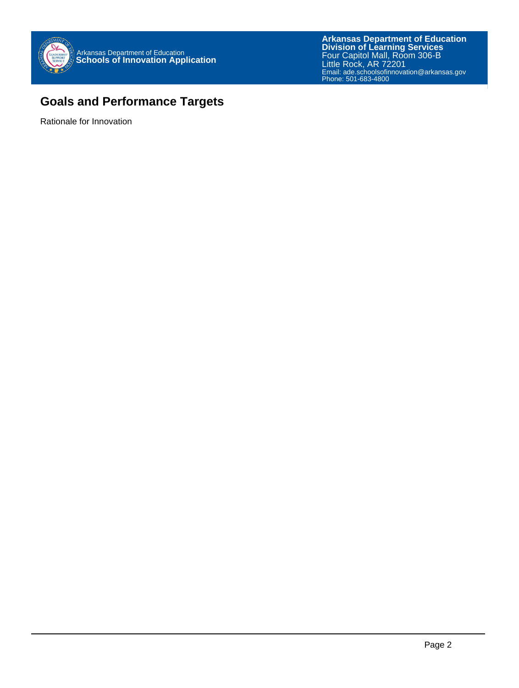

#### **Goals and Performance Targets**

Rationale for Innovation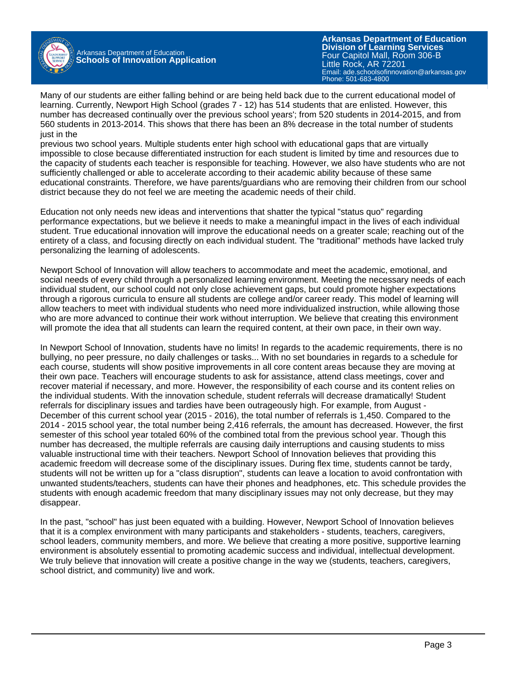

**Arkansas Department of Education** Email: ade.schoolsofinnovation@arkansas.gov **Division of Learning Services** Four Capitol Mall, Room 306-B Little Rock, AR 72201 Phone: 501-683-4800

Many of our students are either falling behind or are being held back due to the current educational model of learning. Currently, Newport High School (grades 7 - 12) has 514 students that are enlisted. However, this number has decreased continually over the previous school years'; from 520 students in 2014-2015, and from 560 students in 2013-2014. This shows that there has been an 8% decrease in the total number of students just in the

previous two school years. Multiple students enter high school with educational gaps that are virtually impossible to close because differentiated instruction for each student is limited by time and resources due to the capacity of students each teacher is responsible for teaching. However, we also have students who are not sufficiently challenged or able to accelerate according to their academic ability because of these same educational constraints. Therefore, we have parents/guardians who are removing their children from our school district because they do not feel we are meeting the academic needs of their child.

Education not only needs new ideas and interventions that shatter the typical "status quo" regarding performance expectations, but we believe it needs to make a meaningful impact in the lives of each individual student. True educational innovation will improve the educational needs on a greater scale; reaching out of the entirety of a class, and focusing directly on each individual student. The "traditional" methods have lacked truly personalizing the learning of adolescents.

Newport School of Innovation will allow teachers to accommodate and meet the academic, emotional, and social needs of every child through a personalized learning environment. Meeting the necessary needs of each individual student, our school could not only close achievement gaps, but could promote higher expectations through a rigorous curricula to ensure all students are college and/or career ready. This model of learning will allow teachers to meet with individual students who need more individualized instruction, while allowing those who are more advanced to continue their work without interruption. We believe that creating this environment will promote the idea that all students can learn the required content, at their own pace, in their own way.

In Newport School of Innovation, students have no limits! In regards to the academic requirements, there is no bullying, no peer pressure, no daily challenges or tasks... With no set boundaries in regards to a schedule for each course, students will show positive improvements in all core content areas because they are moving at their own pace. Teachers will encourage students to ask for assistance, attend class meetings, cover and recover material if necessary, and more. However, the responsibility of each course and its content relies on the individual students. With the innovation schedule, student referrals will decrease dramatically! Student referrals for disciplinary issues and tardies have been outrageously high. For example, from August - December of this current school year (2015 - 2016), the total number of referrals is 1,450. Compared to the 2014 - 2015 school year, the total number being 2,416 referrals, the amount has decreased. However, the first semester of this school year totaled 60% of the combined total from the previous school year. Though this number has decreased, the multiple referrals are causing daily interruptions and causing students to miss valuable instructional time with their teachers. Newport School of Innovation believes that providing this academic freedom will decrease some of the disciplinary issues. During flex time, students cannot be tardy, students will not be written up for a "class disruption", students can leave a location to avoid confrontation with unwanted students/teachers, students can have their phones and headphones, etc. This schedule provides the students with enough academic freedom that many disciplinary issues may not only decrease, but they may disappear.

In the past, "school" has just been equated with a building. However, Newport School of Innovation believes that it is a complex environment with many participants and stakeholders - students, teachers, caregivers, school leaders, community members, and more. We believe that creating a more positive, supportive learning environment is absolutely essential to promoting academic success and individual, intellectual development. We truly believe that innovation will create a positive change in the way we (students, teachers, caregivers, school district, and community) live and work.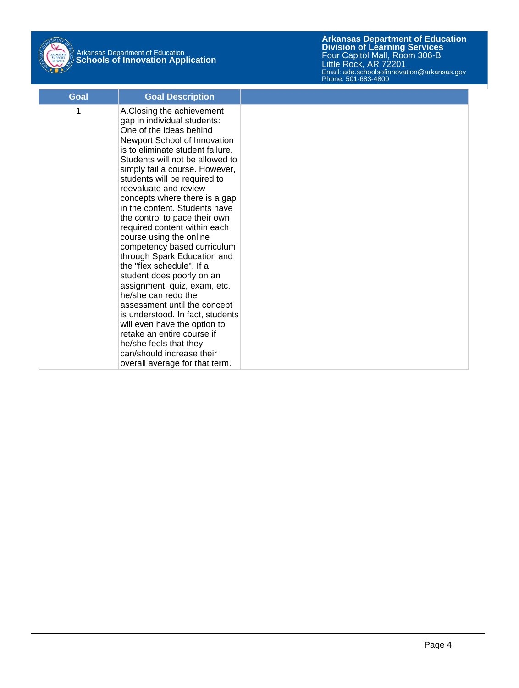

| Goal | <b>Goal Description</b>                                                                                                                                                                                                                                                                                                                                                                                                                                                                                                                                                                                                                                                                                                                                                                                                                                       |  |
|------|---------------------------------------------------------------------------------------------------------------------------------------------------------------------------------------------------------------------------------------------------------------------------------------------------------------------------------------------------------------------------------------------------------------------------------------------------------------------------------------------------------------------------------------------------------------------------------------------------------------------------------------------------------------------------------------------------------------------------------------------------------------------------------------------------------------------------------------------------------------|--|
| 1    | A.Closing the achievement<br>gap in individual students:<br>One of the ideas behind<br>Newport School of Innovation<br>is to eliminate student failure.<br>Students will not be allowed to<br>simply fail a course. However,<br>students will be required to<br>reevaluate and review<br>concepts where there is a gap<br>in the content. Students have<br>the control to pace their own<br>required content within each<br>course using the online<br>competency based curriculum<br>through Spark Education and<br>the "flex schedule". If a<br>student does poorly on an<br>assignment, quiz, exam, etc.<br>he/she can redo the<br>assessment until the concept<br>is understood. In fact, students<br>will even have the option to<br>retake an entire course if<br>he/she feels that they<br>can/should increase their<br>overall average for that term. |  |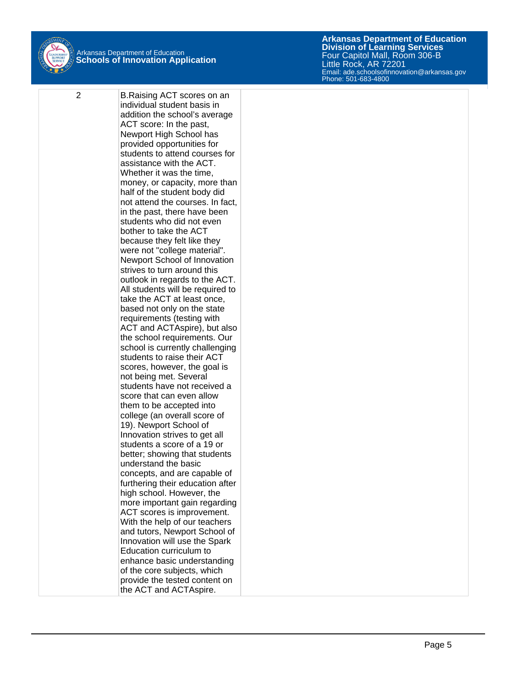

2 B.Raising ACT scores on an individual student basis in addition the school's average ACT score: In the past, Newport High School has provided opportunities for students to attend courses for assistance with the ACT. Whether it was the time, money, or capacity, more than half of the student body did not attend the courses. In fact, in the past, there have been students who did not even bother to take the ACT because they felt like they were not "college material". Newport School of Innovation strives to turn around this outlook in regards to the ACT. All students will be required to take the ACT at least once, based not only on the state requirements (testing with ACT and ACTAspire), but also the school requirements. Our school is currently challenging students to raise their ACT scores, however, the goal is not being met. Several students have not received a score that can even allow them to be accepted into college (an overall score of 19). Newport School of Innovation strives to get all students a score of a 19 or better; showing that students understand the basic concepts, and are capable of furthering their education after high school. However, the more important gain regarding ACT scores is improvement. With the help of our teachers and tutors, Newport School of Innovation will use the Spark Education curriculum to enhance basic understanding of the core subjects, which provide the tested content on the ACT and ACTAspire.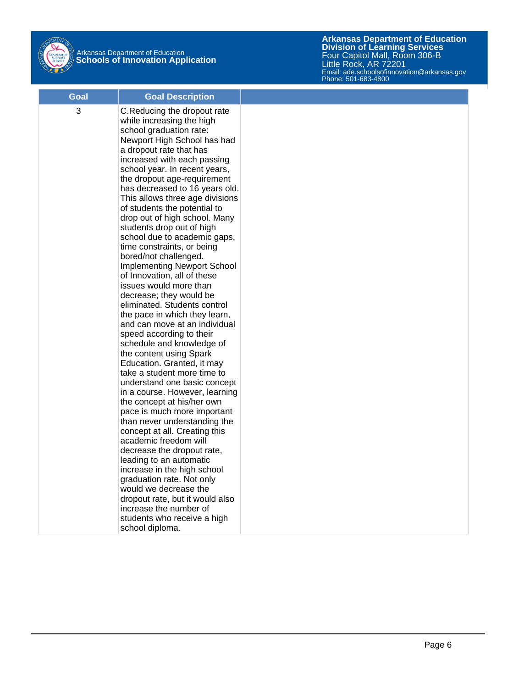

| Goal | <b>Goal Description</b>                                                                                                                                                                                                                                                                                                                                                                                                                                                                                                                                                                                                                                                                                                                                                                                                                                                                                                                                                                                                                                                                                                                                                                                                                                                                                                                                                   |  |
|------|---------------------------------------------------------------------------------------------------------------------------------------------------------------------------------------------------------------------------------------------------------------------------------------------------------------------------------------------------------------------------------------------------------------------------------------------------------------------------------------------------------------------------------------------------------------------------------------------------------------------------------------------------------------------------------------------------------------------------------------------------------------------------------------------------------------------------------------------------------------------------------------------------------------------------------------------------------------------------------------------------------------------------------------------------------------------------------------------------------------------------------------------------------------------------------------------------------------------------------------------------------------------------------------------------------------------------------------------------------------------------|--|
| 3    | C.Reducing the dropout rate<br>while increasing the high<br>school graduation rate:<br>Newport High School has had<br>a dropout rate that has<br>increased with each passing<br>school year. In recent years,<br>the dropout age-requirement<br>has decreased to 16 years old.<br>This allows three age divisions<br>of students the potential to<br>drop out of high school. Many<br>students drop out of high<br>school due to academic gaps,<br>time constraints, or being<br>bored/not challenged.<br><b>Implementing Newport School</b><br>of Innovation, all of these<br>issues would more than<br>decrease; they would be<br>eliminated. Students control<br>the pace in which they learn,<br>and can move at an individual<br>speed according to their<br>schedule and knowledge of<br>the content using Spark<br>Education. Granted, it may<br>take a student more time to<br>understand one basic concept<br>in a course. However, learning<br>the concept at his/her own<br>pace is much more important<br>than never understanding the<br>concept at all. Creating this<br>academic freedom will<br>decrease the dropout rate,<br>leading to an automatic<br>increase in the high school<br>graduation rate. Not only<br>would we decrease the<br>dropout rate, but it would also<br>increase the number of<br>students who receive a high<br>school diploma. |  |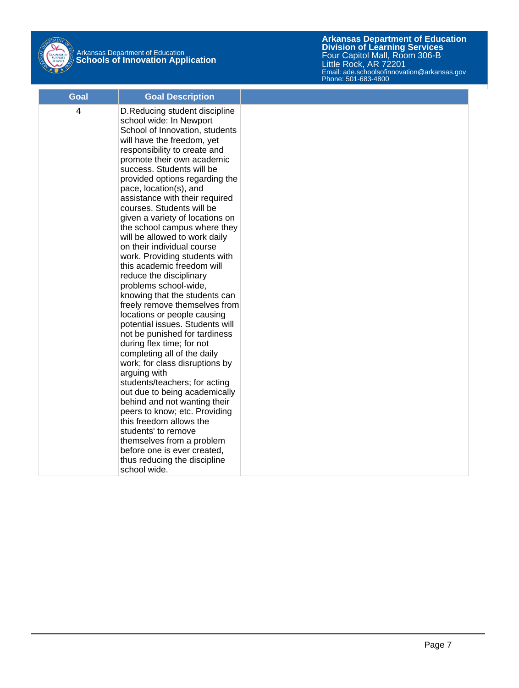

| Goal | <b>Goal Description</b>                                                                                                                                                                                                                                                                                                                                                                                                                                                                                                                                                                                                                                                                                                                                                                                                                                                                                                                                                                                                                                                                                                                                                                  |  |
|------|------------------------------------------------------------------------------------------------------------------------------------------------------------------------------------------------------------------------------------------------------------------------------------------------------------------------------------------------------------------------------------------------------------------------------------------------------------------------------------------------------------------------------------------------------------------------------------------------------------------------------------------------------------------------------------------------------------------------------------------------------------------------------------------------------------------------------------------------------------------------------------------------------------------------------------------------------------------------------------------------------------------------------------------------------------------------------------------------------------------------------------------------------------------------------------------|--|
| 4    | D. Reducing student discipline<br>school wide: In Newport<br>School of Innovation, students<br>will have the freedom, yet<br>responsibility to create and<br>promote their own academic<br>success. Students will be<br>provided options regarding the<br>pace, location(s), and<br>assistance with their required<br>courses. Students will be<br>given a variety of locations on<br>the school campus where they<br>will be allowed to work daily<br>on their individual course<br>work. Providing students with<br>this academic freedom will<br>reduce the disciplinary<br>problems school-wide,<br>knowing that the students can<br>freely remove themselves from<br>locations or people causing<br>potential issues. Students will<br>not be punished for tardiness<br>during flex time; for not<br>completing all of the daily<br>work; for class disruptions by<br>arguing with<br>students/teachers; for acting<br>out due to being academically<br>behind and not wanting their<br>peers to know; etc. Providing<br>this freedom allows the<br>students' to remove<br>themselves from a problem<br>before one is ever created,<br>thus reducing the discipline<br>school wide. |  |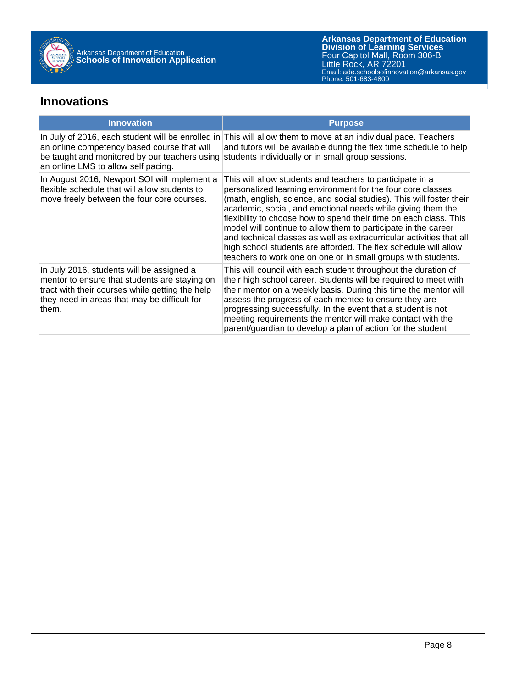

#### **Innovations**

| <b>Innovation</b>                                                                                                                                                                                      | <b>Purpose</b>                                                                                                                                                                                                                                                                                                                                                                                                                                                                                                                                                                                                     |
|--------------------------------------------------------------------------------------------------------------------------------------------------------------------------------------------------------|--------------------------------------------------------------------------------------------------------------------------------------------------------------------------------------------------------------------------------------------------------------------------------------------------------------------------------------------------------------------------------------------------------------------------------------------------------------------------------------------------------------------------------------------------------------------------------------------------------------------|
| an online competency based course that will<br>an online LMS to allow self pacing.                                                                                                                     | In July of 2016, each student will be enrolled in This will allow them to move at an individual pace. Teachers<br>and tutors will be available during the flex time schedule to help<br>be taught and monitored by our teachers using students individually or in small group sessions.                                                                                                                                                                                                                                                                                                                            |
| In August 2016, Newport SOI will implement a<br>flexible schedule that will allow students to<br>move freely between the four core courses.                                                            | This will allow students and teachers to participate in a<br>personalized learning environment for the four core classes<br>(math, english, science, and social studies). This will foster their<br>academic, social, and emotional needs while giving them the<br>flexibility to choose how to spend their time on each class. This<br>model will continue to allow them to participate in the career<br>and technical classes as well as extracurricular activities that all<br>high school students are afforded. The flex schedule will allow<br>teachers to work one on one or in small groups with students. |
| In July 2016, students will be assigned a<br>mentor to ensure that students are staying on<br>tract with their courses while getting the help<br>they need in areas that may be difficult for<br>them. | This will council with each student throughout the duration of<br>their high school career. Students will be required to meet with<br>their mentor on a weekly basis. During this time the mentor will<br>assess the progress of each mentee to ensure they are<br>progressing successfully. In the event that a student is not<br>meeting requirements the mentor will make contact with the<br>parent/guardian to develop a plan of action for the student                                                                                                                                                       |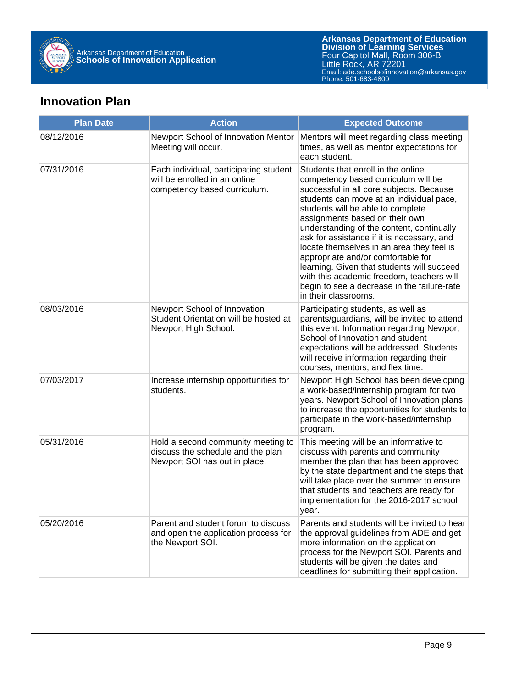

#### **Innovation Plan**

| <b>Plan Date</b> | <b>Action</b>                                                                                            | <b>Expected Outcome</b>                                                                                                                                                                                                                                                                                                                                                                                                                                                                                                                                                                  |
|------------------|----------------------------------------------------------------------------------------------------------|------------------------------------------------------------------------------------------------------------------------------------------------------------------------------------------------------------------------------------------------------------------------------------------------------------------------------------------------------------------------------------------------------------------------------------------------------------------------------------------------------------------------------------------------------------------------------------------|
| 08/12/2016       | Newport School of Innovation Mentor<br>Meeting will occur.                                               | Mentors will meet regarding class meeting<br>times, as well as mentor expectations for<br>each student.                                                                                                                                                                                                                                                                                                                                                                                                                                                                                  |
| 07/31/2016       | Each individual, participating student<br>will be enrolled in an online<br>competency based curriculum.  | Students that enroll in the online<br>competency based curriculum will be<br>successful in all core subjects. Because<br>students can move at an individual pace,<br>students will be able to complete<br>assignments based on their own<br>understanding of the content, continually<br>ask for assistance if it is necessary, and<br>locate themselves in an area they feel is<br>appropriate and/or comfortable for<br>learning. Given that students will succeed<br>with this academic freedom, teachers will<br>begin to see a decrease in the failure-rate<br>in their classrooms. |
| 08/03/2016       | Newport School of Innovation<br>Student Orientation will be hosted at<br>Newport High School.            | Participating students, as well as<br>parents/guardians, will be invited to attend<br>this event. Information regarding Newport<br>School of Innovation and student<br>expectations will be addressed. Students<br>will receive information regarding their<br>courses, mentors, and flex time.                                                                                                                                                                                                                                                                                          |
| 07/03/2017       | Increase internship opportunities for<br>students.                                                       | Newport High School has been developing<br>a work-based/internship program for two<br>years. Newport School of Innovation plans<br>to increase the opportunities for students to<br>participate in the work-based/internship<br>program.                                                                                                                                                                                                                                                                                                                                                 |
| 05/31/2016       | Hold a second community meeting to<br>discuss the schedule and the plan<br>Newport SOI has out in place. | This meeting will be an informative to<br>discuss with parents and community<br>member the plan that has been approved<br>by the state department and the steps that<br>will take place over the summer to ensure<br>that students and teachers are ready for<br>implementation for the 2016-2017 school<br>year.                                                                                                                                                                                                                                                                        |
| 05/20/2016       | Parent and student forum to discuss<br>and open the application process for<br>the Newport SOI.          | Parents and students will be invited to hear<br>the approval guidelines from ADE and get<br>more information on the application<br>process for the Newport SOI. Parents and<br>students will be given the dates and<br>deadlines for submitting their application.                                                                                                                                                                                                                                                                                                                       |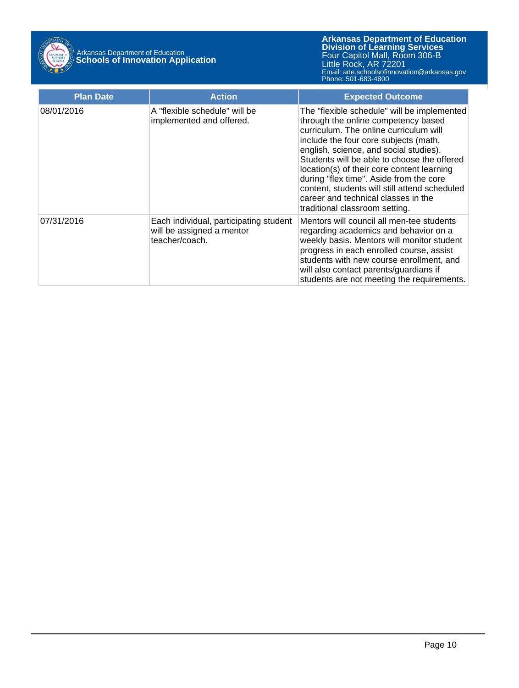

| <b>Plan Date</b> | <b>Action</b>                                                                         | <b>Expected Outcome</b>                                                                                                                                                                                                                                                                                                                                                                                                                                                           |
|------------------|---------------------------------------------------------------------------------------|-----------------------------------------------------------------------------------------------------------------------------------------------------------------------------------------------------------------------------------------------------------------------------------------------------------------------------------------------------------------------------------------------------------------------------------------------------------------------------------|
| 08/01/2016       | A "flexible schedule" will be<br>implemented and offered.                             | The "flexible schedule" will be implemented<br>through the online competency based<br>curriculum. The online curriculum will<br>include the four core subjects (math,<br>english, science, and social studies).<br>Students will be able to choose the offered<br>location(s) of their core content learning<br>during "flex time". Aside from the core<br>content, students will still attend scheduled<br>career and technical classes in the<br>traditional classroom setting. |
| 07/31/2016       | Each individual, participating student<br>will be assigned a mentor<br>teacher/coach. | Mentors will council all men-tee students<br>regarding academics and behavior on a<br>weekly basis. Mentors will monitor student<br>progress in each enrolled course, assist<br>students with new course enrollment, and<br>will also contact parents/guardians if<br>students are not meeting the requirements.                                                                                                                                                                  |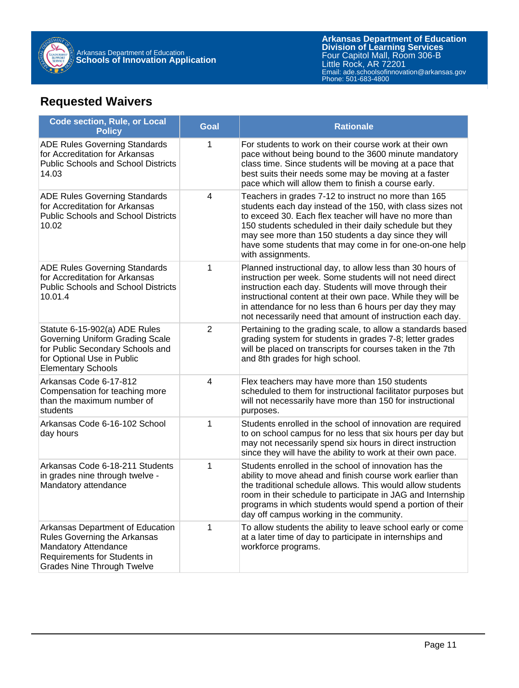

### **Requested Waivers**

| <b>Code section, Rule, or Local</b><br><b>Policy</b>                                                                                                                 | <b>Goal</b>    | <b>Rationale</b>                                                                                                                                                                                                                                                                                                                                                                |
|----------------------------------------------------------------------------------------------------------------------------------------------------------------------|----------------|---------------------------------------------------------------------------------------------------------------------------------------------------------------------------------------------------------------------------------------------------------------------------------------------------------------------------------------------------------------------------------|
| <b>ADE Rules Governing Standards</b><br>for Accreditation for Arkansas<br><b>Public Schools and School Districts</b><br>14.03                                        | 1              | For students to work on their course work at their own<br>pace without being bound to the 3600 minute mandatory<br>class time. Since students will be moving at a pace that<br>best suits their needs some may be moving at a faster<br>pace which will allow them to finish a course early.                                                                                    |
| <b>ADE Rules Governing Standards</b><br>for Accreditation for Arkansas<br><b>Public Schools and School Districts</b><br>10.02                                        | 4              | Teachers in grades 7-12 to instruct no more than 165<br>students each day instead of the 150, with class sizes not<br>to exceed 30. Each flex teacher will have no more than<br>150 students scheduled in their daily schedule but they<br>may see more than 150 students a day since they will<br>have some students that may come in for one-on-one help<br>with assignments. |
| <b>ADE Rules Governing Standards</b><br>for Accreditation for Arkansas<br><b>Public Schools and School Districts</b><br>10.01.4                                      | 1              | Planned instructional day, to allow less than 30 hours of<br>instruction per week. Some students will not need direct<br>instruction each day. Students will move through their<br>instructional content at their own pace. While they will be<br>in attendance for no less than 6 hours per day they may<br>not necessarily need that amount of instruction each day.          |
| Statute 6-15-902(a) ADE Rules<br>Governing Uniform Grading Scale<br>for Public Secondary Schools and<br>for Optional Use in Public<br><b>Elementary Schools</b>      | $\overline{2}$ | Pertaining to the grading scale, to allow a standards based<br>grading system for students in grades 7-8; letter grades<br>will be placed on transcripts for courses taken in the 7th<br>and 8th grades for high school.                                                                                                                                                        |
| Arkansas Code 6-17-812<br>Compensation for teaching more<br>than the maximum number of<br>students                                                                   | 4              | Flex teachers may have more than 150 students<br>scheduled to them for instructional facilitator purposes but<br>will not necessarily have more than 150 for instructional<br>purposes.                                                                                                                                                                                         |
| Arkansas Code 6-16-102 School<br>day hours                                                                                                                           | 1              | Students enrolled in the school of innovation are required<br>to on school campus for no less that six hours per day but<br>may not necessarily spend six hours in direct instruction<br>since they will have the ability to work at their own pace.                                                                                                                            |
| Arkansas Code 6-18-211 Students<br>in grades nine through twelve -<br>Mandatory attendance                                                                           | 1              | Students enrolled in the school of innovation has the<br>ability to move ahead and finish course work earlier than<br>the traditional schedule allows. This would allow students<br>room in their schedule to participate in JAG and Internship<br>programs in which students would spend a portion of their<br>day off campus working in the community.                        |
| Arkansas Department of Education<br>Rules Governing the Arkansas<br><b>Mandatory Attendance</b><br>Requirements for Students in<br><b>Grades Nine Through Twelve</b> | 1              | To allow students the ability to leave school early or come<br>at a later time of day to participate in internships and<br>workforce programs.                                                                                                                                                                                                                                  |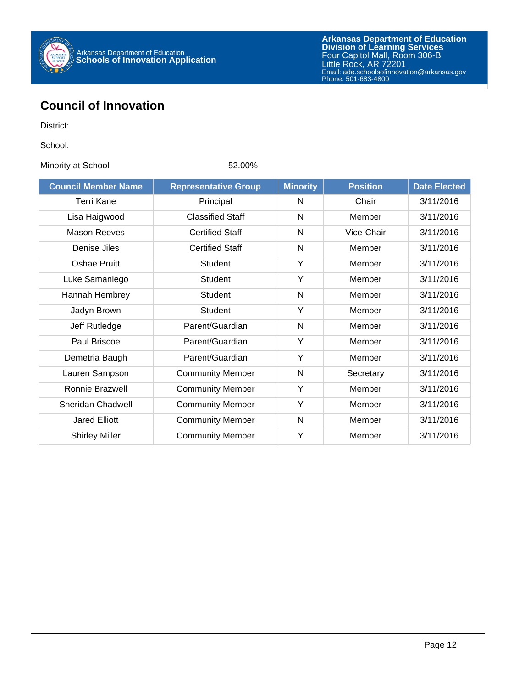

#### **Council of Innovation**

District:

School:

Minority at School 62.00%

| <b>Council Member Name</b> | <b>Representative Group</b> | <b>Minority</b> | <b>Position</b> | <b>Date Elected</b> |
|----------------------------|-----------------------------|-----------------|-----------------|---------------------|
| Terri Kane                 | Principal                   | N               | Chair           | 3/11/2016           |
| Lisa Haigwood              | <b>Classified Staff</b>     | N               | Member          | 3/11/2016           |
| <b>Mason Reeves</b>        | <b>Certified Staff</b>      | $\mathsf{N}$    | Vice-Chair      | 3/11/2016           |
| Denise Jiles               | <b>Certified Staff</b>      | $\mathsf{N}$    | Member          | 3/11/2016           |
| Oshae Pruitt               | <b>Student</b>              | Y               | Member          | 3/11/2016           |
| Luke Samaniego             | <b>Student</b>              | Y               | Member          | 3/11/2016           |
| Hannah Hembrey             | <b>Student</b>              | N               | Member          | 3/11/2016           |
| Jadyn Brown                | <b>Student</b>              | Y               | Member          | 3/11/2016           |
| Jeff Rutledge              | Parent/Guardian             | $\mathsf{N}$    | Member          | 3/11/2016           |
| Paul Briscoe               | Parent/Guardian             | Y               | Member          | 3/11/2016           |
| Demetria Baugh             | Parent/Guardian             | Y               | Member          | 3/11/2016           |
| Lauren Sampson             | <b>Community Member</b>     | N               | Secretary       | 3/11/2016           |
| Ronnie Brazwell            | <b>Community Member</b>     | Υ               | Member          | 3/11/2016           |
| <b>Sheridan Chadwell</b>   | <b>Community Member</b>     | Y               | Member          | 3/11/2016           |
| <b>Jared Elliott</b>       | <b>Community Member</b>     | N               | Member          | 3/11/2016           |
| <b>Shirley Miller</b>      | <b>Community Member</b>     | Y               | Member          | 3/11/2016           |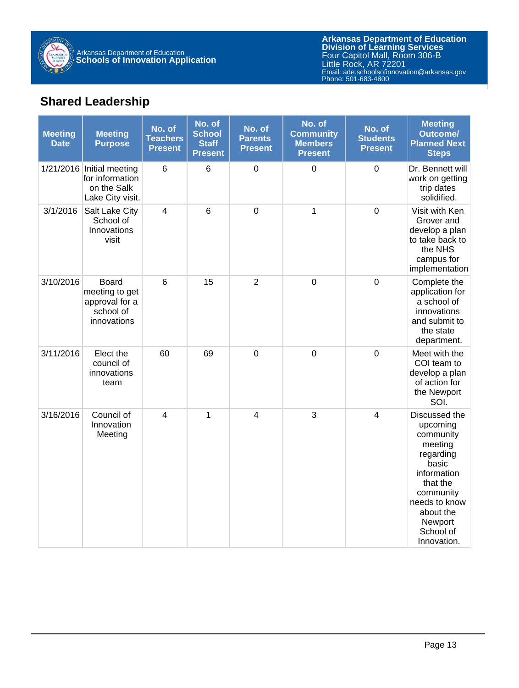

### **Shared Leadership**

| <b>Meeting</b><br><b>Date</b> | <b>Meeting</b><br><b>Purpose</b>                                                | No. of<br><b>Teachers</b><br><b>Present</b> | No. of<br><b>School</b><br><b>Staff</b><br><b>Present</b> | No. of<br><b>Parents</b><br><b>Present</b> | No. of<br><b>Community</b><br><b>Members</b><br><b>Present</b> | No. of<br><b>Students</b><br><b>Present</b> | <b>Meeting</b><br><b>Outcome/</b><br><b>Planned Next</b><br><b>Steps</b>                                                                                                             |
|-------------------------------|---------------------------------------------------------------------------------|---------------------------------------------|-----------------------------------------------------------|--------------------------------------------|----------------------------------------------------------------|---------------------------------------------|--------------------------------------------------------------------------------------------------------------------------------------------------------------------------------------|
|                               | 1/21/2016 Initial meeting<br>for information<br>on the Salk<br>Lake City visit. | 6                                           | 6                                                         | $\mathbf 0$                                | $\mathbf 0$                                                    | $\mathbf 0$                                 | Dr. Bennett will<br>work on getting<br>trip dates<br>solidified.                                                                                                                     |
| 3/1/2016                      | Salt Lake City<br>School of<br>Innovations<br>visit                             | $\overline{\mathbf{4}}$                     | $6\phantom{1}$                                            | $\mathbf 0$                                | $\mathbf 1$                                                    | $\mathbf 0$                                 | Visit with Ken<br>Grover and<br>develop a plan<br>to take back to<br>the NHS<br>campus for<br>implementation                                                                         |
| 3/10/2016                     | <b>Board</b><br>meeting to get<br>approval for a<br>school of<br>innovations    | 6                                           | 15                                                        | $\overline{2}$                             | $\mathbf 0$                                                    | $\mathbf 0$                                 | Complete the<br>application for<br>a school of<br>innovations<br>and submit to<br>the state<br>department.                                                                           |
| 3/11/2016                     | Elect the<br>council of<br>innovations<br>team                                  | 60                                          | 69                                                        | $\boldsymbol{0}$                           | $\boldsymbol{0}$                                               | $\mathbf 0$                                 | Meet with the<br>COI team to<br>develop a plan<br>of action for<br>the Newport<br>SOI.                                                                                               |
| 3/16/2016                     | Council of<br>Innovation<br>Meeting                                             | $\overline{4}$                              | 1                                                         | $\overline{4}$                             | 3                                                              | $\overline{4}$                              | Discussed the<br>upcoming<br>community<br>meeting<br>regarding<br>basic<br>information<br>that the<br>community<br>needs to know<br>about the<br>Newport<br>School of<br>Innovation. |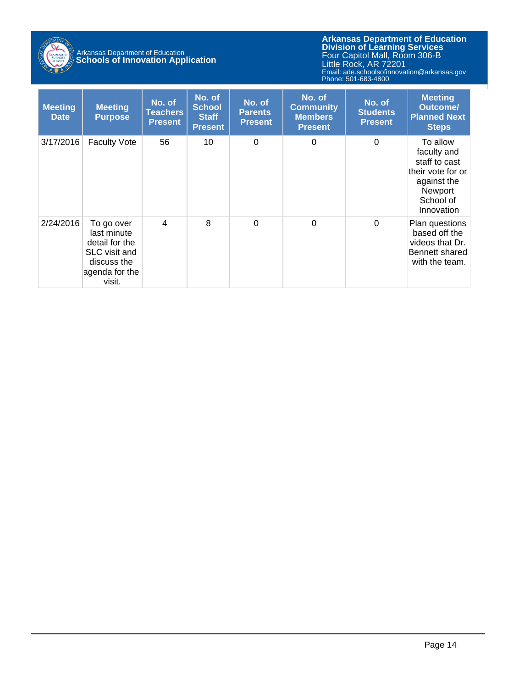

**Arkansas Department of Education** Email: ade.schoolsofinnovation@arkansas.gov **Division of Learning Services** Four Capitol Mall, Room 306-B Little Rock, AR 72201 Phone: 501-683-4800

| <b>Meeting</b><br><b>Date</b> | <b>Meeting</b><br><b>Purpose</b>                                                                        | No. of<br>Teachers<br><b>Present</b> | No. of<br><b>School</b><br><b>Staff</b><br><b>Present</b> | No. of<br><b>Parents</b><br><b>Present</b> | No. of<br><b>Community</b><br><b>Members</b><br><b>Present</b> | No. of<br><b>Students</b><br><b>Present</b> | <b>Meeting</b><br><b>Outcome/</b><br><b>Planned Next</b><br><b>Steps</b>                                           |
|-------------------------------|---------------------------------------------------------------------------------------------------------|--------------------------------------|-----------------------------------------------------------|--------------------------------------------|----------------------------------------------------------------|---------------------------------------------|--------------------------------------------------------------------------------------------------------------------|
| 3/17/2016                     | <b>Faculty Vote</b>                                                                                     | 56                                   | 10                                                        | 0                                          | 0                                                              | $\mathbf 0$                                 | To allow<br>faculty and<br>staff to cast<br>their vote for or<br>against the<br>Newport<br>School of<br>Innovation |
| 2/24/2016                     | To go over<br>last minute<br>detail for the<br>SLC visit and<br>discuss the<br>agenda for the<br>visit. | $\overline{4}$                       | 8                                                         | $\Omega$                                   | $\Omega$                                                       | $\mathbf 0$                                 | Plan questions<br>based off the<br>videos that Dr.<br>Bennett shared<br>with the team.                             |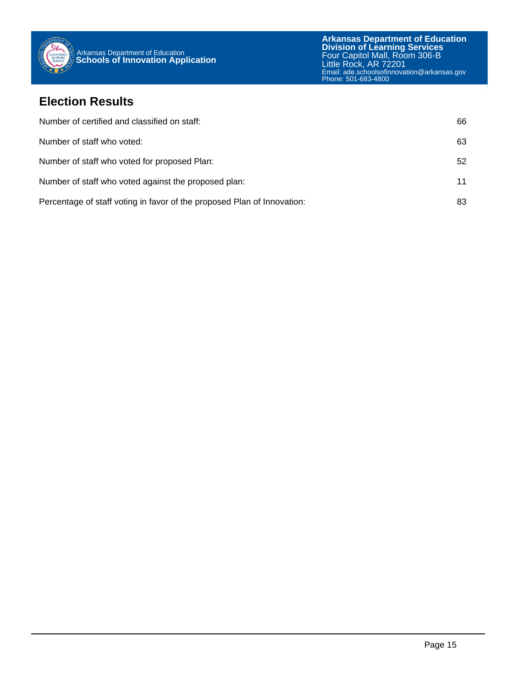

#### **Election Results**

| Number of certified and classified on staff:                            | 66 |
|-------------------------------------------------------------------------|----|
| Number of staff who voted:                                              | 63 |
| Number of staff who voted for proposed Plan:                            | 52 |
| Number of staff who voted against the proposed plan:                    | 11 |
| Percentage of staff voting in favor of the proposed Plan of Innovation: | 83 |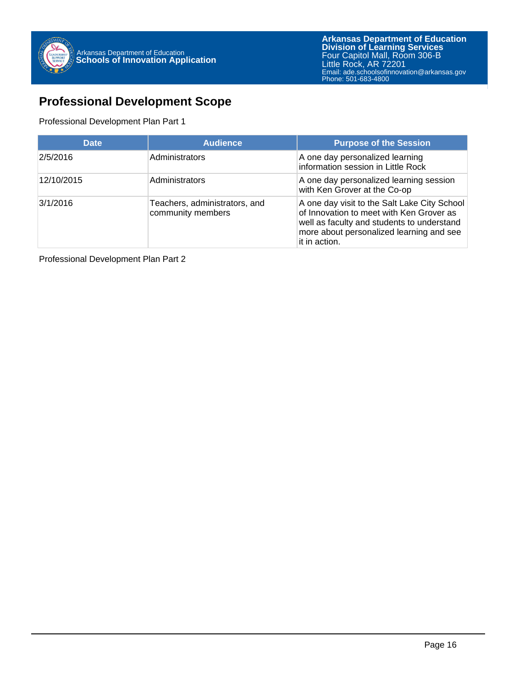

#### **Professional Development Scope**

#### Professional Development Plan Part 1

| <b>Date</b> | <b>Audience</b>                                    | <b>Purpose of the Session</b>                                                                                                                                                                       |
|-------------|----------------------------------------------------|-----------------------------------------------------------------------------------------------------------------------------------------------------------------------------------------------------|
| 2/5/2016    | Administrators                                     | A one day personalized learning<br>information session in Little Rock                                                                                                                               |
| 12/10/2015  | Administrators                                     | A one day personalized learning session<br>with Ken Grover at the Co-op                                                                                                                             |
| 3/1/2016    | Teachers, administrators, and<br>community members | A one day visit to the Salt Lake City School<br>of Innovation to meet with Ken Grover as<br>well as faculty and students to understand<br>more about personalized learning and see<br>it in action. |

Professional Development Plan Part 2